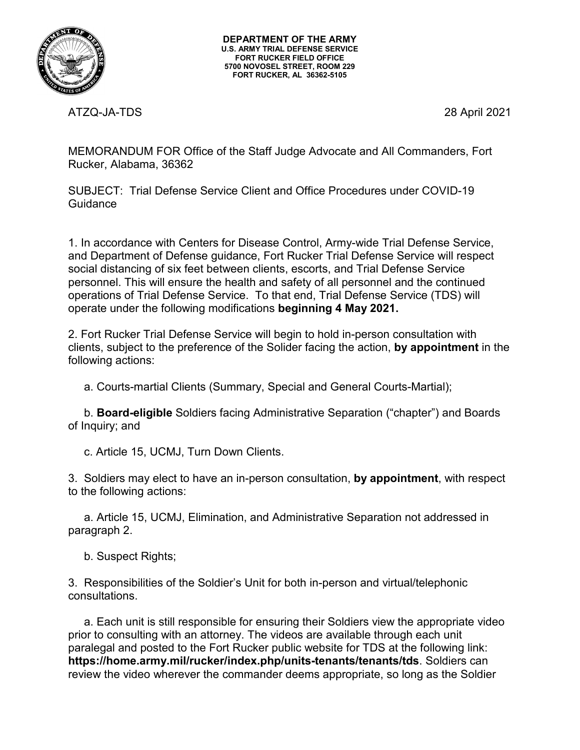

ATZQ-JA-TDS 28 April 2021

MEMORANDUM FOR Office of the Staff Judge Advocate and All Commanders, Fort Rucker, Alabama, 36362

SUBJECT: Trial Defense Service Client and Office Procedures under COVID-19 **Guidance** 

1. In accordance with Centers for Disease Control, Army-wide Trial Defense Service, and Department of Defense guidance, Fort Rucker Trial Defense Service will respect social distancing of six feet between clients, escorts, and Trial Defense Service personnel. This will ensure the health and safety of all personnel and the continued operations of Trial Defense Service. To that end, Trial Defense Service (TDS) will operate under the following modifications **beginning 4 May 2021.**

2. Fort Rucker Trial Defense Service will begin to hold in-person consultation with clients, subject to the preference of the Solider facing the action, **by appointment** in the following actions:

a. Courts-martial Clients (Summary, Special and General Courts-Martial);

 b. **Board-eligible** Soldiers facing Administrative Separation ("chapter") and Boards of Inquiry; and

c. Article 15, UCMJ, Turn Down Clients.

3. Soldiers may elect to have an in-person consultation, **by appointment**, with respect to the following actions:

 a. Article 15, UCMJ, Elimination, and Administrative Separation not addressed in paragraph 2.

b. Suspect Rights;

3. Responsibilities of the Soldier's Unit for both in-person and virtual/telephonic consultations.

 a. Each unit is still responsible for ensuring their Soldiers view the appropriate video prior to consulting with an attorney. The videos are available through each unit paralegal and posted to the Fort Rucker public website for TDS at the following link: **https://home.army.mil/rucker/index.php/units-tenants/tenants/tds**. Soldiers can review the video wherever the commander deems appropriate, so long as the Soldier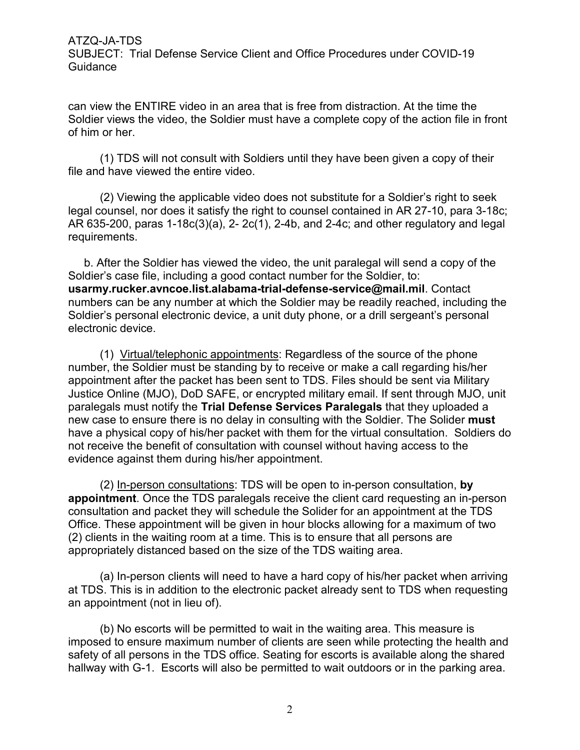ATZQ-JA-TDS

SUBJECT: Trial Defense Service Client and Office Procedures under COVID-19 **Guidance** 

can view the ENTIRE video in an area that is free from distraction. At the time the Soldier views the video, the Soldier must have a complete copy of the action file in front of him or her.

 (1) TDS will not consult with Soldiers until they have been given a copy of their file and have viewed the entire video.

 (2) Viewing the applicable video does not substitute for a Soldier's right to seek legal counsel, nor does it satisfy the right to counsel contained in AR 27-10, para 3-18c; AR 635-200, paras 1-18c(3)(a), 2- 2c(1), 2-4b, and 2-4c; and other regulatory and legal requirements.

 b. After the Soldier has viewed the video, the unit paralegal will send a copy of the Soldier's case file, including a good contact number for the Soldier, to: **usarmy.rucker.avncoe.list.alabama-trial-defense-service@mail.mil**. Contact numbers can be any number at which the Soldier may be readily reached, including the Soldier's personal electronic device, a unit duty phone, or a drill sergeant's personal electronic device.

 (1) Virtual/telephonic appointments: Regardless of the source of the phone number, the Soldier must be standing by to receive or make a call regarding his/her appointment after the packet has been sent to TDS. Files should be sent via Military Justice Online (MJO), DoD SAFE, or encrypted military email. If sent through MJO, unit paralegals must notify the **Trial Defense Services Paralegals** that they uploaded a new case to ensure there is no delay in consulting with the Soldier. The Solider **must**  have a physical copy of his/her packet with them for the virtual consultation. Soldiers do not receive the benefit of consultation with counsel without having access to the evidence against them during his/her appointment.

 (2) In-person consultations: TDS will be open to in-person consultation, **by appointment**. Once the TDS paralegals receive the client card requesting an in-person consultation and packet they will schedule the Solider for an appointment at the TDS Office. These appointment will be given in hour blocks allowing for a maximum of two (2) clients in the waiting room at a time. This is to ensure that all persons are appropriately distanced based on the size of the TDS waiting area.

 (a) In-person clients will need to have a hard copy of his/her packet when arriving at TDS. This is in addition to the electronic packet already sent to TDS when requesting an appointment (not in lieu of).

 (b) No escorts will be permitted to wait in the waiting area. This measure is imposed to ensure maximum number of clients are seen while protecting the health and safety of all persons in the TDS office. Seating for escorts is available along the shared hallway with G-1. Escorts will also be permitted to wait outdoors or in the parking area.